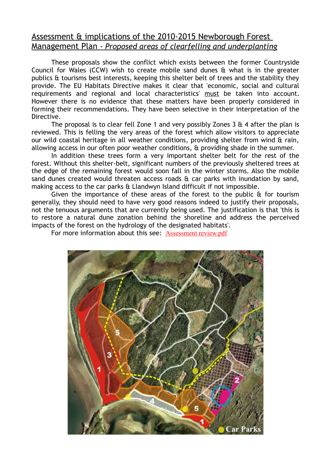# Assessment & implications of the 2010-2015 Newborough Forest Management Plan *- Proposed areas of clearfelling and underplanting*

These proposals show the conflict which exists between the former Countryside Council for Wales (CCW) wish to create mobile sand dunes & what is in the greater publics & tourisms best interests, keeping this shelter belt of trees and the stability they provide. The EU Habitats Directive makes it clear that 'economic, social and cultural requirements and regional and local characteristics' must be taken into account. However there is no evidence that these matters have been properly considered in forming their recommendations. They have been selective in their interpretation of the Directive.

The proposal is to clear fell Zone 1 and very possibly Zones 3  $\&$  4 after the plan is reviewed. This is felling the very areas of the forest which allow visitors to appreciate our wild coastal heritage in all weather conditions, providing shelter from wind & rain, allowing access in our often poor weather conditions, & providing shade in the summer.

In addition these trees form a very important shelter belt for the rest of the forest. Without this shelter-belt, significant numbers of the previously sheltered trees at the edge of the remaining forest would soon fall in the winter storms. Also the mobile sand dunes created would threaten access roads & car parks with inundation by sand, making access to the car parks & Llandwyn Island difficult if not impossible.

Given the importance of these areas of the forest to the public  $\hat{a}$  for tourism generally, they should need to have very good reasons indeed to justify their proposals, not the tenuous arguments that are currently being used. The justification is that 'this is to restore a natural dune zonation behind the shoreline and address the perceived impacts of the forest on the hydrology of the designated habitats'.

For more information about this see: [Assessment review.pdf](http://www.savenewboroughforest.org.uk/Assessment%20review.pdf)

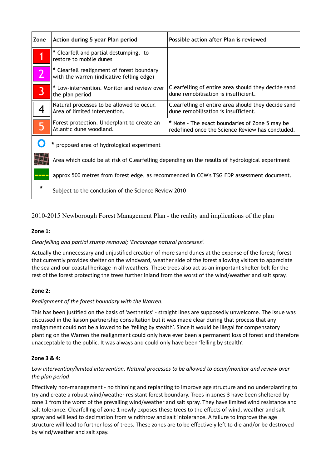| Zone                                     | Action during 5 year Plan period                                                                | Possible action after Plan is reviewed                                                             |
|------------------------------------------|-------------------------------------------------------------------------------------------------|----------------------------------------------------------------------------------------------------|
|                                          | * Clearfell and partial destumping, to<br>restore to mobile dunes                               |                                                                                                    |
|                                          | * Clearfell realignment of forest boundary<br>with the warren (indicative felling edge)         |                                                                                                    |
| $\overline{3}$                           | * Low-intervention. Monitor and review over<br>the plan period                                  | Clearfelling of entire area should they decide sand<br>dune remobilisation is insufficient.        |
|                                          | Natural processes to be allowed to occur.<br>Area of limited intervention.                      | Clearfelling of entire area should they decide sand<br>dune remobilisation is insufficient.        |
| 5                                        | Forest protection. Underplant to create an<br>Atlantic dune woodland.                           | * Note - The exact boundaries of Zone 5 may be<br>redefined once the Science Review has concluded. |
| proposed area of hydrological experiment |                                                                                                 |                                                                                                    |
|                                          | Area which could be at risk of Clearfelling depending on the results of hydrological experiment |                                                                                                    |
| <u>s partido d</u>                       | approx 500 metres from forest edge, as recommended in CCW's TSG FDP assessment document.        |                                                                                                    |
|                                          | Subject to the conclusion of the Science Review 2010                                            |                                                                                                    |

# 2010-2015 Newborough Forest Management Plan - the reality and implications of the plan

## **Zone 1:**

## *Clearfelling and partial stump removal; 'Encourage natural processes'*.

Actually the unnecessary and unjustified creation of more sand dunes at the expense of the forest; forest that currently provides shelter on the windward, weather side of the forest allowing visitors to appreciate the sea and our coastal heritage in all weathers. These trees also act as an important shelter belt for the rest of the forest protecting the trees further inland from the worst of the wind/weather and salt spray.

## **Zone 2:**

# *Realignment of the forest boundary with the Warren.*

This has been justified on the basis of 'aesthetics' - straight lines are supposedly unwelcome. The issue was discussed in the liaison partnership consultation but it was made clear during that process that any realignment could not be allowed to be 'felling by stealth'. Since it would be illegal for compensatory planting on the Warren the realignment could only have ever been a permanent loss of forest and therefore unacceptable to the public. It was always and could only have been 'felling by stealth'.

# **Zone 3 & 4:**

# *Low intervention/limited intervention. Natural processes to be allowed to occur/monitor and review over the plan period*.

Effectively non-management - no thinning and replanting to improve age structure and no underplanting to try and create a robust wind/weather resistant forest boundary. Trees in zones 3 have been sheltered by zone 1 from the worst of the prevailing wind/weather and salt spray. They have limited wind resistance and salt tolerance. Clearfelling of zone 1 newly exposes these trees to the effects of wind, weather and salt spray and will lead to decimation from windthrow and salt intolerance. A failure to improve the age structure will lead to further loss of trees. These zones are to be effectively left to die and/or be destroyed by wind/weather and salt spay.